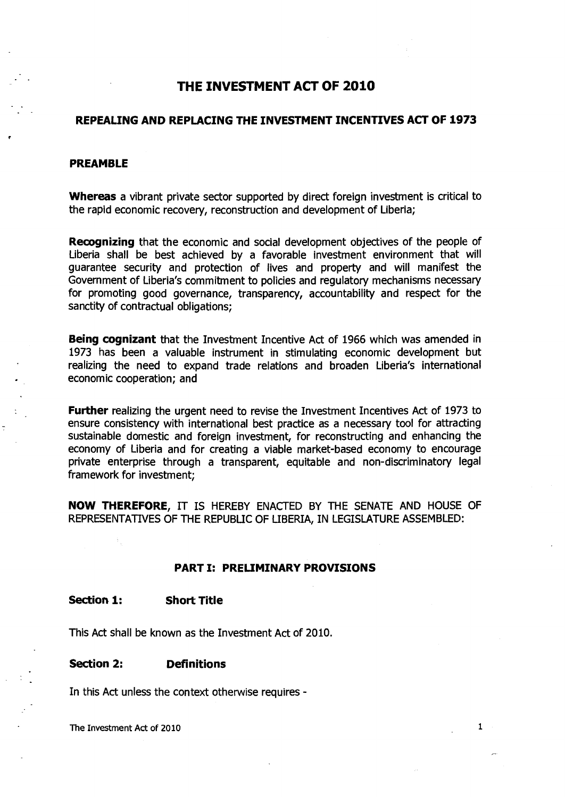# **THE INVESTMENT ACT OF 2010**

# **REPEALING AND REPLACING THE INVESTMENT INCENTIVES ACT OF 1973**

### **PREAMBLE**

**Whereas a vibrant private sector supported by direct foreign investment is critical to the rapid economic recovery, reconstruction and development of Liberia;** 

**Recognizing that the economic and social development objectives of the people of Liberia shall be best achieved by a favorable investment environment that will guarantee security and protection of lives and property and will manifest the Government of Liberia's commitment to policies and regulatory mechanisms necessary for promoting good governance, transparency, accountability and respect for the sanctity of contractual obligations;** 

**Being cognizant that the Investment Incentive Act of 1966 which was amended in 1973 has been a valuable instrument in stimulating economic development but realizing the need to expand trade relations and broaden Liberia's international economic cooperation; and** 

**Further realizing the urgent need to revise the Investment Incentives Act of 1973 to ensure consistency with international best practice as a necessary tool for attracting sustainable domestic and foreign investment, for reconstructing and enhancing the economy of Liberia and for creating a viable market-based economy to encourage private enterprise through a transparent, equitable and non-discriminatory legal framework for investment;** 

**NOW THEREFORE, IT IS HEREBY ENACTED BY THE SENATE AND HOUSE OF REPRESENTATIVES OF THE REPUBLIC OF LIBERIA, IN LEGISLATURE ASSEMBLED:** 

#### **PART I: PRELIMINARY PROVISIONS**

**Section 1: Short Title** 

**This Act shall be known as the Investment Act of 2010.** 

#### **Section 2: Definitions**

**In this Act unless the** context otherwise requires **-**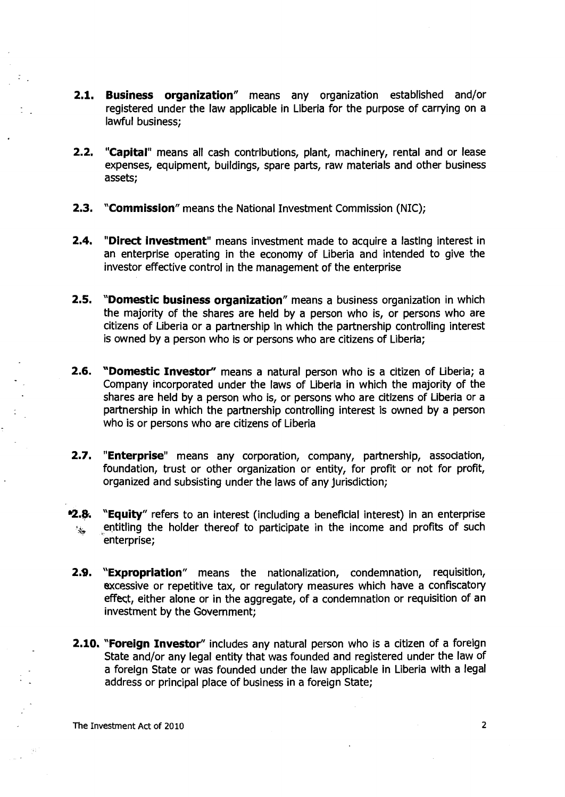- **2.1. Business organization"** means any organization established and/or registered under the law applicable in Liberia for the purpose of carrying on a lawful business;
- **2.2. "Capital"** means all cash contributions, plant, machinery, rental and or lease expenses, equipment, buildings, spare parts, raw materials and other business assets;
- **2.3. "Commission"** means the National Investment Commission (NIC);
- **2.4. "Direct investment"** means investment made to acquire a lasting interest in an enterprise operating in the economy of Liberia and intended to give the investor effective control in the management of the enterprise
- **2.5. "Domestic business organization"** means a business organization in which the majority of the shares are held by a person who is, or persons who are citizens of Liberia or a partnership in which the partnership controlling interest is owned by a person who is or persons who are citizens of Liberia;
- **2.6. "Domestic Investor"** means a natural person who is a citizen of Liberia; a Company incorporated under the laws of Liberia in which the majority of the shares are held by a person who is, or persons who are citizens of Liberia or a partnership in which the partnership controlling interest is owned by a person who is or persons who are citizens of Liberia
- **2.7. "Enterprise"** means any corporation, company, partnership, association, foundation, trust or other organization or entity, for profit or not for profit, organized and subsisting under the laws of any jurisdiction;
- **v2.B. "Equity"** refers to an interest (including a beneficial interest) in an enterprise entitling the holder thereof to participate in the income and profits of such المجيزة enterprise;
- **2.9. "Expropriation"** means the nationalization, condemnation, requisition, excessive or repetitive tax, or regulatory measures which have a confiscatory effect, either alone or in the aggregate, of a condemnation or requisition of an investment by the Government;
- **2.10. "Foreign Investor"** includes any natural person who is a citizen of a foreign State and/or any legal entity that was founded and registered under the law of a foreign State or was founded under the law applicable in Liberia with a legal address or principal place of business in a foreign State;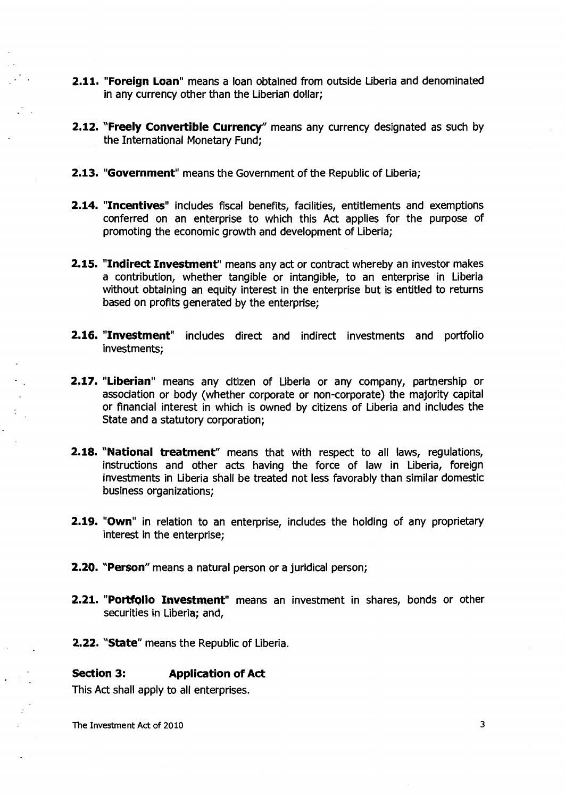- **2.11. "Foreign Loan"** means a loan obtained from outside Liberia and denominated in any currency other than the Liberian dollar;
- **2.12. "Freely Convertible Currency"** means any currency designated as such by the International Monetary Fund;
- **2.13. "Government"** means the Government of the Republic of Liberia;
- **2.14. "Incentives"** includes fiscal benefits, facilities, entitlements and exemptions conferred on an enterprise to which this Act applies for the purpose of promoting the economic growth and development of Liberia;
- **2.15. "Indirect Investment"** means any act or contract whereby an investor makes a contribution, whether tangible or intangible, to an enterprise in Liberia without obtaining an equity interest in the enterprise but is entitled to returns based on profits generated by the enterprise;
- **2.16. "Investment"** includes direct and indirect investments and portfolio investments;
- **2.17. "Liberian"** means any citizen of Liberia or any company, partnership or association or body (whether corporate or non-corporate) the majority capital or financial interest in which is owned by citizens of Liberia and includes the State and a statutory corporation;
- **2.18. "National treatment"** means that with respect to all laws, regulations, instructions and other acts having the force of law in Liberia, foreign investments in Liberia shall be treated not less favorably than similar domestic business organizations;
- **2.19. "Own"** in relation to an enterprise, includes the holding of any proprietary interest in the enterprise;
- **2.20. "Person"** means a natural person or a juridical person;
- **2.21. "Portfolio Investment"** means an investment in shares, bonds or other securities in Liberia; and,
- **2.22. "State"** means the Republic of Liberia.

# **Section 3: Application of Act**

This Act shall apply to all enterprises.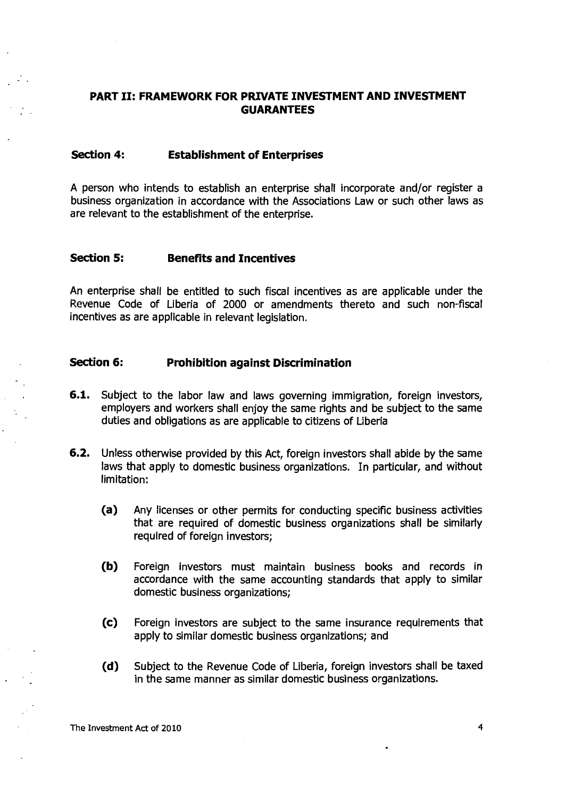# **PART II: FRAMEWORK FOR PRIVATE INVESTMENT AND INVESTMENT GUARANTEES**

# **Section 4: Establishment of Enterprises**

A person who intends to establish an enterprise shall incorporate and/or register a business organization in accordance with the Associations Law or such other laws as are relevant to the establishment of the enterprise.

### **Section 5: Benefits and Incentives**

An enterprise shall be entitled to such fiscal incentives as are applicable under the Revenue Code of Liberia of 2000 or amendments thereto and such non-fiscal incentives as are applicable in relevant legislation.

#### **Section 6: Prohibition against Discrimination**

- **6.1.** Subject to the labor law and laws governing immigration, foreign investors, employers and workers shall enjoy the same rights and be subject to the same duties and obligations as are applicable to citizens of Liberia
- **6.2.** Unless otherwise provided by this Act, foreign investors shall abide by the same laws that apply to domestic business organizations. In particular, and without limitation:
	- (a) Any licenses or other permits for conducting specific business activities that are required of domestic business organizations shall be similarly required of foreign investors;
	- (b) Foreign investors must maintain business books and records in accordance with the same accounting standards that apply to similar domestic business organizations;
	- (c) Foreign investors are subject to the same insurance requirements that apply to similar domestic business organizations; and
	- (d) Subject to the Revenue Code of Liberia, foreign investors shall be taxed in the same manner as similar domestic business organizations.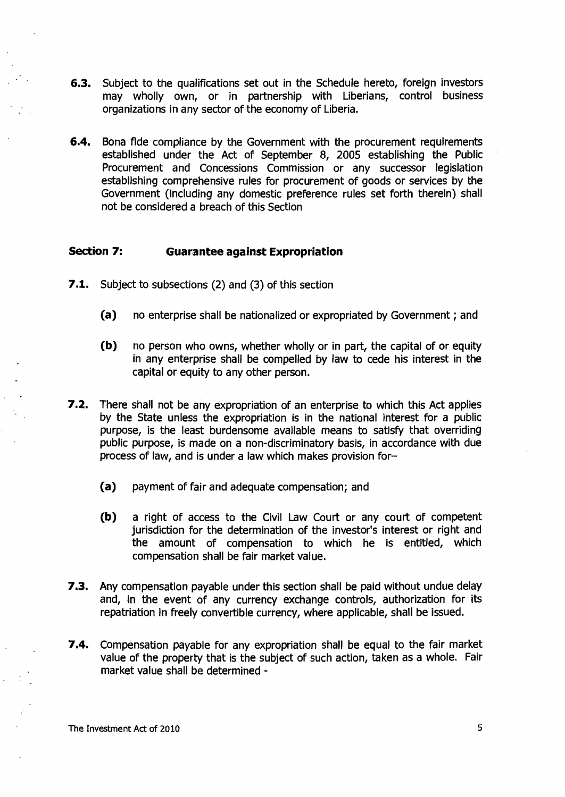- **6.3.** Subject to the qualifications set out in the Schedule hereto, foreign investors may wholly own, or in partnership with Liberians, control business organizations in any sector of the economy of Liberia.
- **6.4.** Bona fide compliance by the Government with the procurement requirements established under the Act of September 8, 2005 establishing the Public Procurement and Concessions Commission or any successor legislation establishing comprehensive rules for procurement of goods or services by the Government (including any domestic preference rules set forth therein) shall not be considered a breach of this Section

# **Section 7: Guarantee against Expropriation**

- **7.1.** Subject to subsections (2) and (3) of this section
	- (a) no enterprise shall be nationalized or expropriated by Government ; and
	- (b) no person who owns, whether wholly or in part, the capital of or equity in any enterprise shall be compelled by law to cede his interest in the capital or equity to any other person.
- **7.2.** There shall not be any expropriation of an enterprise to which this Act applies by the State unless the expropriation is in the national interest for a public purpose, is the least burdensome available means to satisfy that overriding public purpose, is made on a non-discriminatory basis, in accordance with due process of law, and is under a law which makes provision for—
	- (a) payment of fair and adequate compensation; and
	- (b) a right of access to the Civil Law Court or any court of competent jurisdiction for the determination of the investor's interest or right and the amount of compensation to which he is entitled, which compensation shall be fair market value.
- **7.3.** Any compensation payable under this section shall be paid without undue delay and, in the event of any currency exchange controls, authorization for its repatriation in freely convertible currency, where applicable, shall be issued.
- **7.4.** Compensation payable for any expropriation shall be equal to the fair market value of the property that is the subject of such action, taken as a whole. Fair market value shall be determined -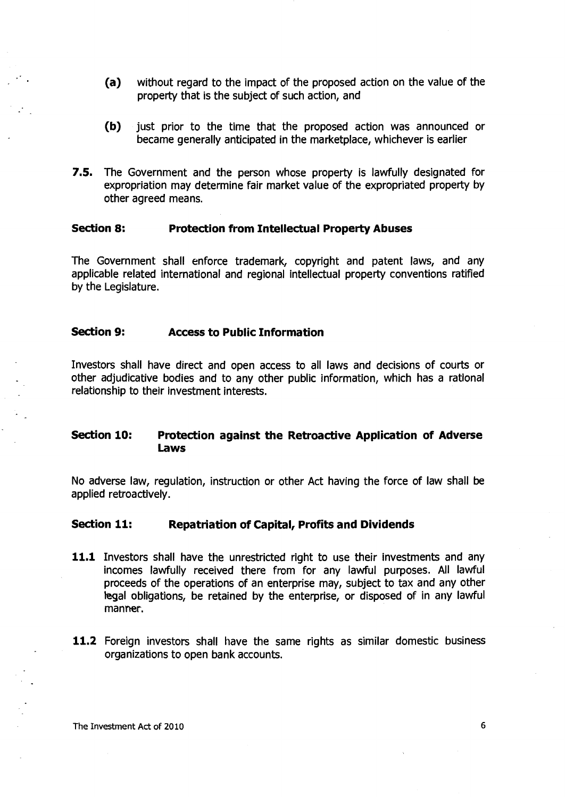- (a) without regard to the impact of the proposed action on the value of the property that is the subject of such action, and
- (b) just prior to the time that the proposed action was announced or became generally anticipated in the marketplace, whichever is earlier
- **7.5.** The Government and the person whose property is lawfully designated for expropriation may determine fair market value of the expropriated property by other agreed means.

#### **Section 8: Protection from Intellectual Property Abuses**

The Government shall enforce trademark, copyright and patent laws, and any applicable related international and regional intellectual property conventions ratified by the Legislature.

#### **Section 9: Access to Public Information**

Investors shall have direct and open access to all laws and decisions of courts or other adjudicative bodies and to any other public information, which has a rational relationship to their investment interests.

# **Section 10: Protection against the Retroactive Application of Adverse Laws**

No adverse law, regulation, instruction or other Act having the force of law shall be applied retroactively.

#### **Section 11: Repatriation of Capital, Profits and Dividends**

- **11.1** Investors shall have the unrestricted right to use their investments and any incomes lawfully received there from for any lawful purposes. All lawful proceeds of the operations of an enterprise may, subject to tax and any other legal obligations, be retained by the enterprise, or disposed of in any lawful manner.
- **11.2** Foreign investors shall have the same rights as similar domestic business organizations to open bank accounts.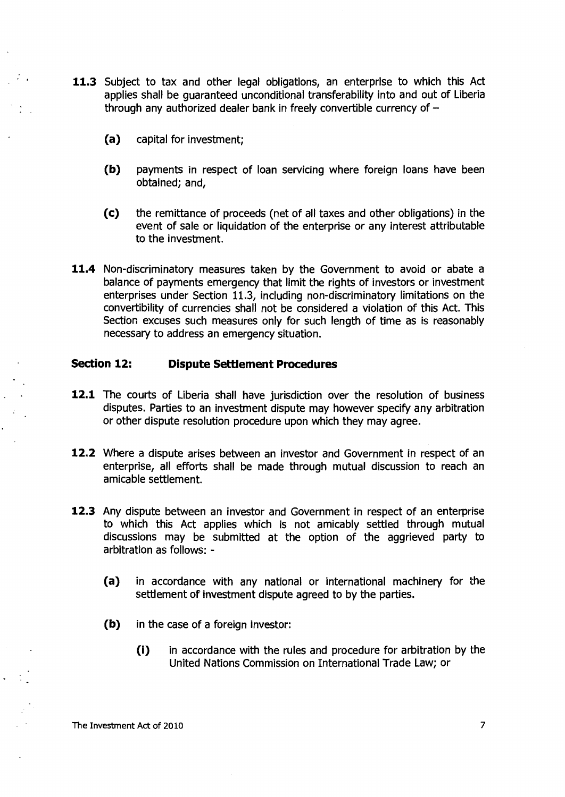- **11.3** Subject to tax and other legal obligations, an enterprise to which this Act applies shall be guaranteed unconditional transferability into and out of Liberia through any authorized dealer bank in freely convertible currency of —
	- (a) capital for investment;
	- (b) payments in respect of loan servicing where foreign loans have been obtained; and,
	- (c) the remittance of proceeds (net of all taxes and other obligations) in the event of sale or liquidation of the enterprise or any interest attributable to the investment.
- **11.4** Non-discriminatory measures taken by the Government to avoid or abate a balance of payments emergency that limit the rights of investors or investment enterprises under Section 11.3, including non-discriminatory limitations on the convertibility of currencies shall not be considered a violation of this Act. This Section excuses such measures only for such length of time as is reasonably necessary to address an emergency situation.

# **Section 12: Dispute Settlement Procedures**

- **12.1** The courts of Liberia shall have jurisdiction over the resolution of business disputes. Parties to an investment dispute may however specify any arbitration or other dispute resolution procedure upon which they may agree.
- **12.2** Where a dispute arises between an investor and Government in respect of an enterprise, all efforts shall be made through mutual discussion to reach an amicable settlement.
- **12.3** Any dispute between an investor and Government in respect of an enterprise to which this Act applies which is not amicably settled through mutual discussions may be submitted at the option of the aggrieved party to arbitration as follows: -
	- (a) in accordance with any national or international machinery for the settlement of investment dispute agreed to by the parties.
	- (b) in the case of a foreign investor:
		- (i) in accordance with the rules and procedure for arbitration by the United Nations Commission on International Trade Law; or

The Investment Act of 2010 **7** and 2010 **7** and 2010 **7** and 2010 **7** and 2010 **7** and 2010 **7** and 2010 **7** and 2010 **7** and 2010 **7** and 2010 **7** and 2010 **7** and 2010 **7** and 2010 **7** and 2010 **7** and 2011 **7** and 2011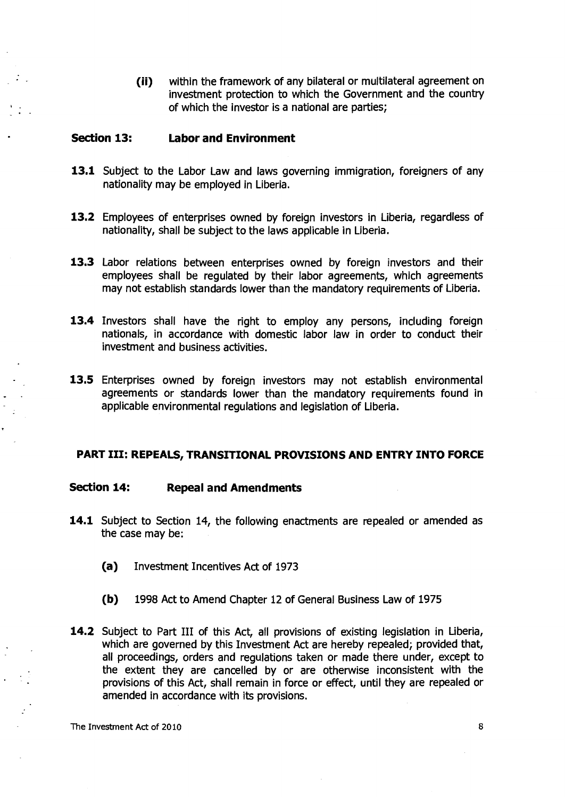(ii) within the framework of any bilateral or multilateral agreement on investment protection to which the Government and the country of which the investor is a national are parties;

#### **Section 13: Labor and Environment**

- 13.1 Subject to the Labor Law and laws governing immigration, foreigners of any nationality may be employed in Liberia.
- **13.2** Employees of enterprises owned by foreign investors in Liberia, regardless of nationality, shall be subject to the laws applicable in Liberia.
- **13.3** Labor relations between enterprises owned by foreign investors and their employees shall be regulated by their labor agreements, which agreements may not establish standards lower than the mandatory requirements of Liberia.
- **13.4** Investors shall have the right to employ any persons, including foreign nationals, in accordance with domestic labor law in order to conduct their investment and business activities.
- **13.5** Enterprises owned by foreign investors may not establish environmental agreements or standards lower than the mandatory requirements found in applicable environmental regulations and legislation of Liberia.

#### **PART III: REPEALS, TRANSITIONAL PROVISIONS AND ENTRY INTO FORCE**

#### **Section 14: Repeal and Amendments**

- **14.1** Subject to Section 14, the following enactments are repealed or amended as the case may be:
	- (a) Investment Incentives Act of 1973
	- (b) 1998 Act to Amend Chapter 12 of General Business Law of 1975
- **14.2** Subject to Part III of this Act, all provisions of existing legislation in Liberia, which are governed by this Investment Act are hereby repealed; provided that, all proceedings, orders and regulations taken or made there under, except to the extent they are cancelled by or are otherwise inconsistent with the provisions of this Act, shall remain in force or effect, until they are repealed or amended in accordance with its provisions.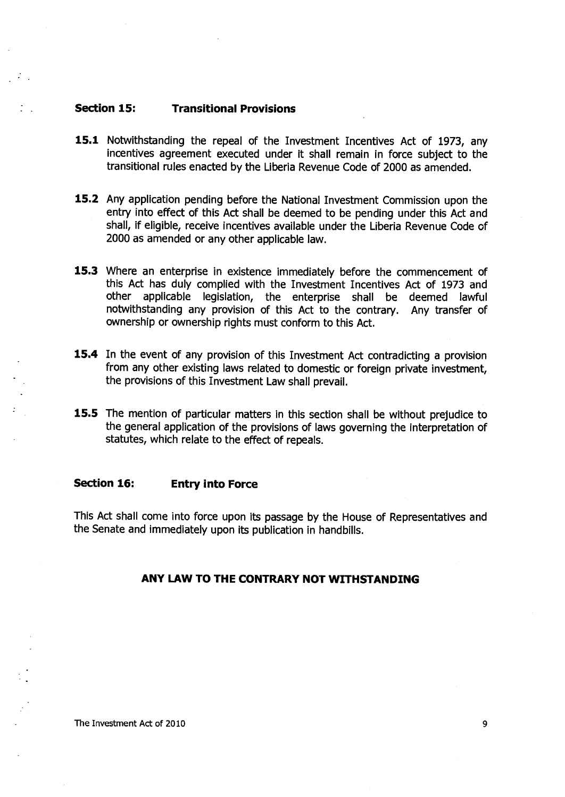# **Section 15: Transitional Provisions**

- 15.1 Notwithstanding the repeal of the Investment Incentives Act of 1973, any incentives agreement executed under it shall remain in force subject to the transitional rules enacted by the Liberia Revenue Code of 2000 as amended.
- **15.2** Any application pending before the National Investment Commission upon the entry into effect of this Act shall be deemed to be pending under this Act and shall, if eligible, receive incentives available under the Liberia Revenue Code of 2000 as amended or any other applicable law.
- **15.3** Where an enterprise in existence immediately before the commencement of this Act has duly complied with the Investment Incentives Act of 1973 and other applicable legislation, the enterprise shall be deemed lawful applicable legislation, the enterprise shall be deemed lawful notwithstanding any provision of this Act to the contrary. Any transfer of ownership or ownership rights must conform to this Act.
- **15.4** In the event of any provision of this Investment Act contradicting a provision from any other existing laws related to domestic or foreign private investment, the provisions of this Investment Law shall prevail.
- **15.5** The mention of particular matters in this section shall be without prejudice to the general application of the provisions of laws governing the interpretation of statutes, which relate to the effect of repeals.

### **Section 16: Entry into Force**

This Act shall come into force upon its passage by the House of Representatives and the Senate and immediately upon its publication in handbills.

# **ANY LAW TO THE CONTRARY NOT WITHSTANDING**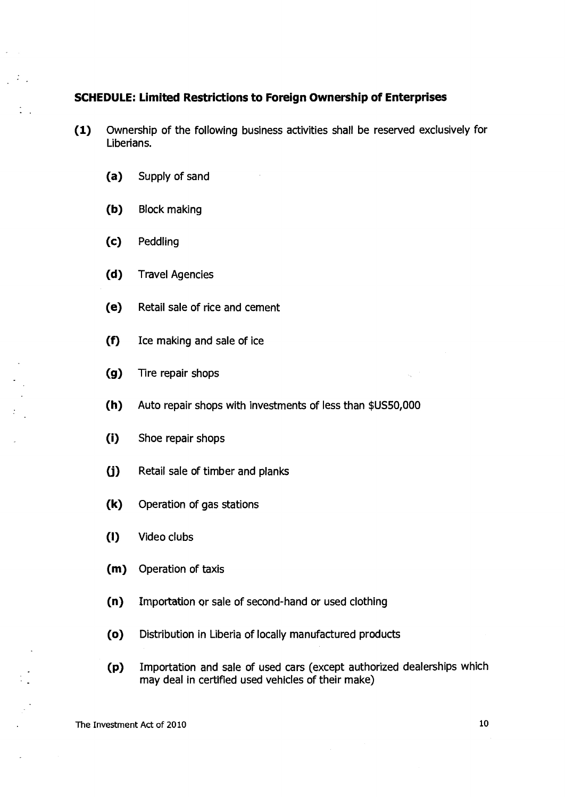# **SCHEDULE: Limited Restrictions to Foreign Ownership of Enterprises**

- **(1)** Ownership of the following business activities shall be reserved exclusively for Liberians.
	- (a) Supply of sand
	- (b) Block making
	- (c) Peddling

 $\mathbb{R}^n$  .

- (d) Travel Agencies
- (e) Retail sale of rice and cement
- (f) Ice making and sale of ice
- (g) Tire repair shops
- (h) Auto repair shops with investments of less than \$US50,000
- (i) Shoe repair shops
- (j) Retail sale of timber and planks
- (k) Operation of gas stations
- **(I)** Video clubs
- (m) Operation of taxis
- (n) Importation or sale of second-hand or used clothing
- (o) Distribution in Liberia of locally manufactured products
- (p) Importation and sale of used cars (except authorized dealerships which may deal in certified used vehicles of their make)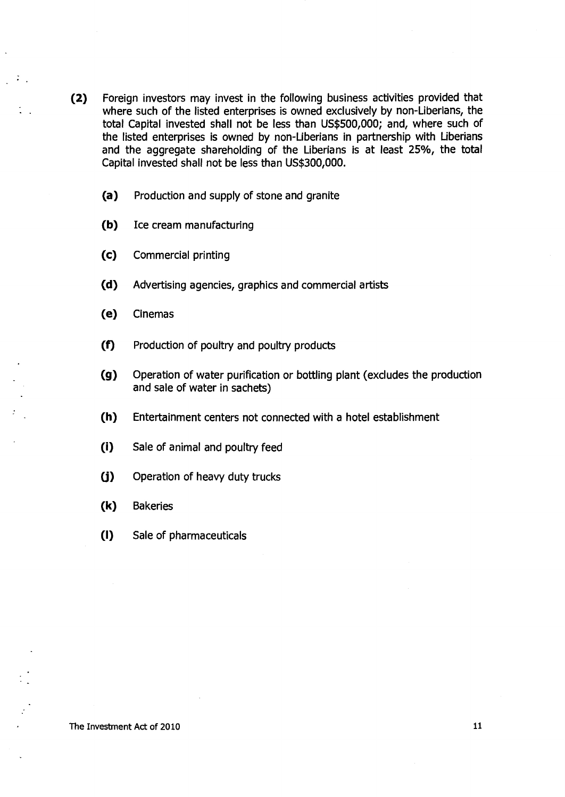- **(2)** Foreign investors may invest in the following business activities provided that where such of the listed enterprises is owned exclusively by non-Liberians, the total Capital invested shall not be less than US\$500,000; and, where such of the listed enterprises is owned by non-Liberians in partnership with Liberians and the aggregate shareholding of the Liberians is at least 25%, the total Capital invested shall not be less than US\$300,000.
	- (a) Production and supply of stone and granite
	- (b) Ice cream manufacturing
	- (c) Commercial printing
	- (d) Advertising agencies, graphics and commercial artists
	- (e) Cinemas

 $\mathbb{Z}$ 

- (f) Production of poultry and poultry products
- (g) Operation of water purification or bottling plant (excludes the production and sale of water in sachets)
- (h) Entertainment centers not connected with a hotel establishment
- (i) Sale of animal and poultry feed
- (j) Operation of heavy duty trucks
- (k) Bakeries
- **(I)** Sale of pharmaceuticals

The Investment Act of 2010 11 and the Investment Act of 2010 11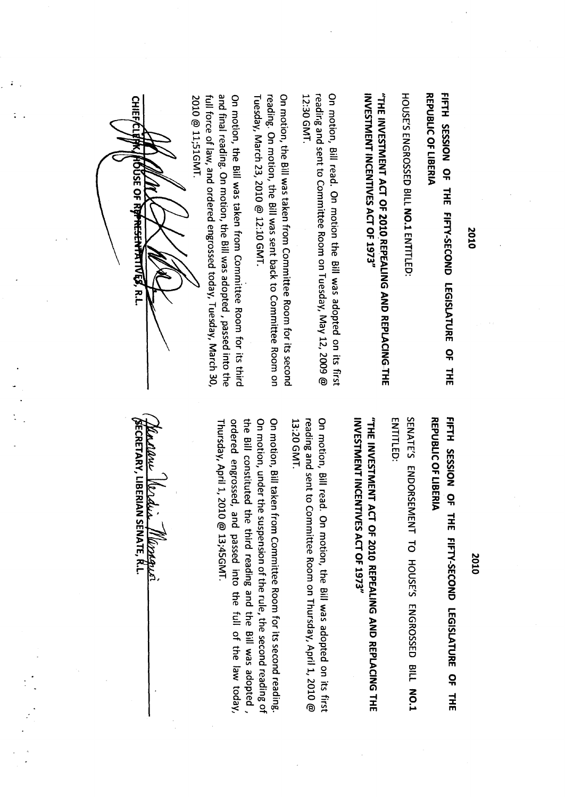2010

REPUBLIC OF LIBERIA **V1 0E11 1 10 3118f1d321**  FIFTH SESSION OF THE FIFTY-SECOND LEGISLATURE OF THE **3H1AO 3t1111. 11S 1 1931 ONOD3S-A13 l3 31.11 AO NOISS3S** 

HOUSE'S ENGROSSED BILL NO.1 ENTITLED IOUSE'S FACEOSSED BILL **NO.1** FATHLED:

 $\Xi$  m  $\vec{F}$  is  $\vec{F}$  is  $\vec{F}$ **18**  -<br>-<br>-<br>-3 6 4.42 m

 $\cong$  . <sup>F</sup>E; E '--' = = = 71c,.. - z **2010 RE<br>CT OF 1:**<br>tee Roon<br>was sen<br>was sen from<br>n, the Bi<br>engro **PEALINC<br>PEALING**<br>T - Dill<br>**11**<br>Committ<br>II was ad<br>II was add<br>ssed tod ia<br>12<br>12 I**G AND REPLACIN**<br>was adopted on it<br>lesday, May 12, 2C<br>tree Room for its s<br>to Committee Root<br>dopted , passed in<br>day, Tuesday, Mar<br>day, Tuesday, Mar **CG-THE**<br>its first<br>com on<br>its third<br>its the act and  $\frac{1}{2}$ <br>its third the act  $\frac{1}{2}$ ,  $\frac{1}{2}$ 

 $\frac{11}{12}$  . But  $\frac{13}{12}$  ,  $\frac{13}{12}$  ,  $\frac{13}{12}$ ี<br>ว  $\frac{1}{\sqrt{1-\frac{1}{n}}}$ AL 호텔 - CL *금* 등 **7a tn** 

,..., — **CL** n) cu = i.):) a. < X **07** 3 m m **CL 5 0 ° R.** 3 **'11** ao ,-,- GI co 08', =I) 3 **Vs**   $\frac{1}{2}$   $\frac{1}{2}$   $\frac{1}{2}$   $\frac{1}{2}$   $\frac{1}{2}$   $\frac{1}{2}$   $\frac{1}{2}$   $\frac{1}{2}$   $\frac{1}{2}$   $\frac{1}{2}$   $\frac{1}{2}$   $\frac{1}{2}$   $\frac{1}{2}$   $\frac{1}{2}$   $\frac{1}{2}$   $\frac{1}{2}$   $\frac{1}{2}$   $\frac{1}{2}$   $\frac{1}{2}$   $\frac{1}{2}$   $\frac{1}{2}$   $\frac{1}{2}$  o pa<br>Da pa notion<br>Ing an<br>Ing. O<br>Rody, N<br>Timal r<br>Force c **STMENT ACT OF :<br>NT INCENTIVES A**<br>d sent to Commit<br>d sent to Commit<br>d sent to Commit<br>in, the Bill was take<br>ading. On motion<br>of law, and ordere<br>1;51GMT.<br>1;51GMT. ة \_ّ 2. e Bill<br>⊌, and<br>iMT.  $\tilde{\vec{a}}$ On motion, the Bill was taken from Committee Room for its third <u>ক ≡ ⊜ ¥ E হ</u> co ■-\* **F3** 9.:! m SD O — **Ct. 1**



**V121381110 DI-MUM**  REPUBLIC OF LIBERIA FIFTH SESSION OF THE FIFTY-SECOND LEGISLATURE OF THE **311.1. dO 3H111V1S1 931 CI NO33S-A13l3 3H1 AO NOISS3S** 

SENATE'S ENDORSEMENT TO HOUSE'S ENGROSSED BILL NO.1 **STANTS EXPORSENTIO HOUSE'S ENGROSSED BILL 20.1** 

# $\mathbf{S}$ **ns 01.A • rn ..**   $\frac{1}{2}$ **I m = Z < X**

 $\begin{array}{ccc} \mathbf{C} & \mathbf{C} & \mathbf{C} \\ \mathbf{C} & \mathbf{C} & \mathbf{C} \\ \mathbf{C} & \mathbf{C} & \mathbf{C} \end{array}$ **CD XI 0** ut T **<sup>R</sup> 0**<br>0 1 8<br>2 2 On motion, Bill read. On motion, the Bill was adopted on its first **N**<br>20. a, Z<br>20. a, Z<br>20. a, Z<br>20. a, Z<br>20. a, Z<br>20. a, Z<br>20. a, Z<br>20. a, Z<br>20. a, Z<br>20. a, Z<br>20. a, Z<br>20. a, Z<br>20. a, Z<br>20. a, Z<br>20. a, Z<br>20. a, Z<br>20. a, Z **O.) . . 0.1**  = r) P- **ac >** 

-a -, **-ri 1-L 'CS 7 M** n 7+- 3 > **201** $\vec{C}$ <br> **10.**  $\vec{C}$ <br> **10.**  $\vec{C}$ <br> **10.**  $\vec{C}$ <br> **10.**  $\vec{C}$ <br> **10.**  $\vec{C}$ <br> **10.**  $\vec{C}$ **1973**<br> **ion**, the<br> **e** Room c<br> **munittee**<br> **reading**<br> **creading**<br> **15GMT**. **=. , r-r 5. ALING AN<br>Bill was a<br>Room for<br>Room for<br>e rule tull<br>the full** the Bill constituted the third reading and the Bill was adopted, **OD RE**<br>  $\begin{array}{ccc}\n\text{AD} & \text{H} \\
\text{H} & \text{H} \\
\text{H} & \text{H} \\
\text{H} & \text{H} \\
\text{H} & \text{H} \\
\text{H} & \text{H} \\
\text{H} & \text{H} \\
\text{H} & \text{H} \\
\text{H} & \text{H} \\
\text{H} & \text{H} \\
\text{H} & \text{H} \\
\text{H} & \text{H} \\
\text{H} & \text{H} \\
\text{H} & \text{H} \\
\text{H} & \text{H} \\
\text{H} & \text{H} \\
\text{H} & \text{H}$ **=**  REPLACING THE<br>pted on its first<br>April 1, 2010 @<br>second reading.<br>I was adopted ,<br>the law today, **:< <sup>H</sup> 0 rt 0 0 I."** 2 -1 rn = **a CD =**  <sup>O</sup> r..., --I -3 ° 3 3 o 2' 3 m **03 (/) —I CL CD • 0 0 =** o -4 2 **ras 0- — r+.r+. G.) aa ,-+ M**  LED:<br>**NYNE**<br>TIN 5 B TO SCIENCE C USED FOR SCIENCE OF SAYS<br>TIN FOR THE C OF SAYS **..\_ el) 0 ? = ni rn J;" = = 0- .- Z -C3 00 VI C Cr3 VI CO ....1 ---. •"%. -.1 M. = NENT**<br>**INCEN**<br> **exert** to<br> **i** at a a- find a subset of the set of  $\alpha$ .<br> **i**  $\alpha$ Thursday, April 1, 2010 @ 13;45GMT. **FR**<br>Contrustants<br>O d + France  $\overline{C}$ <br> **CLNE**<br>  $\overline{C}$ <br>  $\overline{C}$ <br>  $\overline{C}$ <br>  $\overline{C}$ <br>  $\overline{C}$ <br>  $\overline{C}$ <br>  $\overline{C}$ <br>  $\overline{C}$ <br>  $\overline{C}$ <br>  $\overline{C}$ <br>  $\overline{C}$ <br>  $\overline{C}$ <br>  $\overline{C}$ <br>  $\overline{C}$ <br>  $\overline{C}$ <br>  $\overline{C}$ <br>  $\overline{C}$ <br>  $\overline{C}$ <br>  $\overline{C}$ <br>  $\overline{C}$ <br>  $\over$ Bill taken from<br>under the sus<sub>i</sub><br>stituted the t<br>grossed, and<br>pril 1, 2010 @

**SECRETARY, LIBERIAN SENATE, R.L.** 

2010